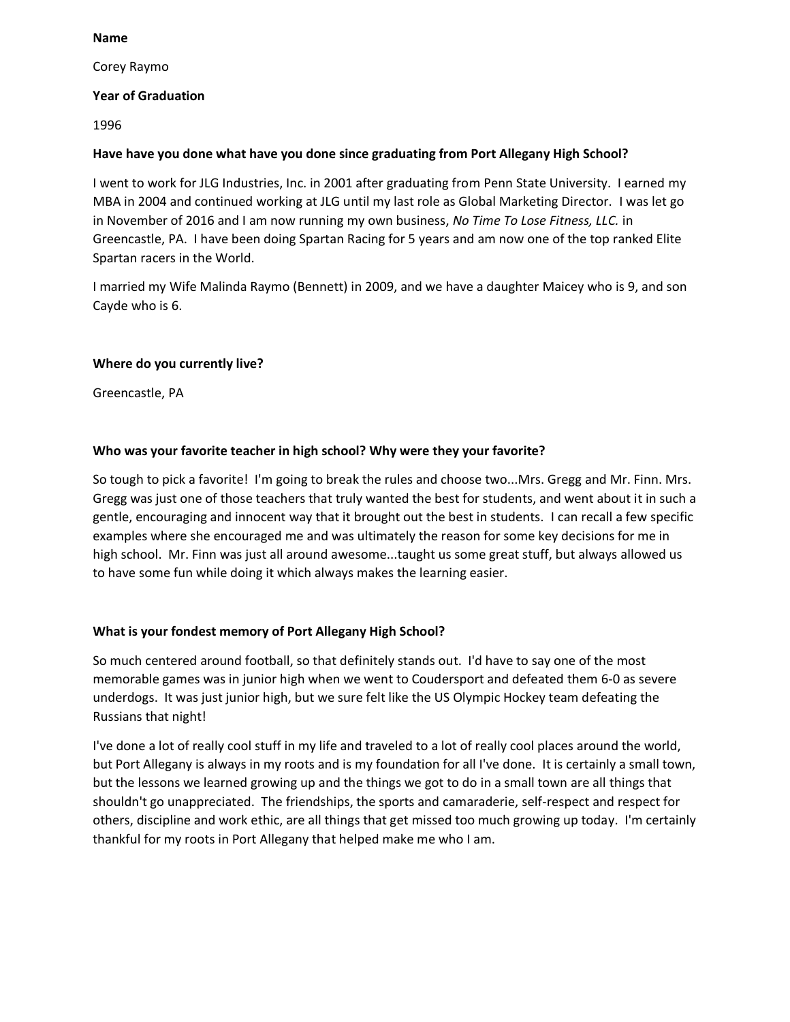#### **Name**

Corey Raymo

### **Year of Graduation**

1996

## **Have have you done what have you done since graduating from Port Allegany High School?**

I went to work for JLG Industries, Inc. in 2001 after graduating from Penn State University. I earned my MBA in 2004 and continued working at JLG until my last role as Global Marketing Director. I was let go in November of 2016 and I am now running my own business, *No Time To Lose Fitness, LLC.* in Greencastle, PA. I have been doing Spartan Racing for 5 years and am now one of the top ranked Elite Spartan racers in the World.

I married my Wife Malinda Raymo (Bennett) in 2009, and we have a daughter Maicey who is 9, and son Cayde who is 6.

### **Where do you currently live?**

Greencastle, PA

# **Who was your favorite teacher in high school? Why were they your favorite?**

So tough to pick a favorite! I'm going to break the rules and choose two...Mrs. Gregg and Mr. Finn. Mrs. Gregg was just one of those teachers that truly wanted the best for students, and went about it in such a gentle, encouraging and innocent way that it brought out the best in students. I can recall a few specific examples where she encouraged me and was ultimately the reason for some key decisions for me in high school. Mr. Finn was just all around awesome...taught us some great stuff, but always allowed us to have some fun while doing it which always makes the learning easier.

# **What is your fondest memory of Port Allegany High School?**

So much centered around football, so that definitely stands out. I'd have to say one of the most memorable games was in junior high when we went to Coudersport and defeated them 6-0 as severe underdogs. It was just junior high, but we sure felt like the US Olympic Hockey team defeating the Russians that night!

I've done a lot of really cool stuff in my life and traveled to a lot of really cool places around the world, but Port Allegany is always in my roots and is my foundation for all I've done. It is certainly a small town, but the lessons we learned growing up and the things we got to do in a small town are all things that shouldn't go unappreciated. The friendships, the sports and camaraderie, self-respect and respect for others, discipline and work ethic, are all things that get missed too much growing up today. I'm certainly thankful for my roots in Port Allegany that helped make me who I am.